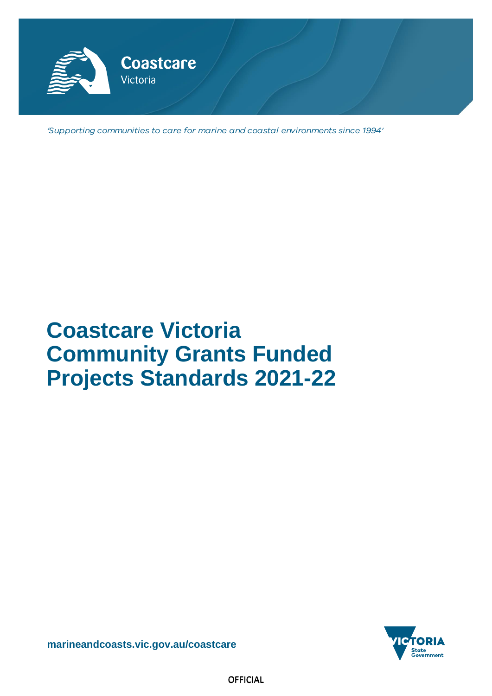

'Supporting communities to care for marine and coastal environments since 1994'

# **Coastcare Victoria Community Grants Funded Projects Standards 2021-22**



**[marineandcoasts.vic.gov.au/coastcare](https://www.marineandcoasts.vic.gov.au/coastcare)**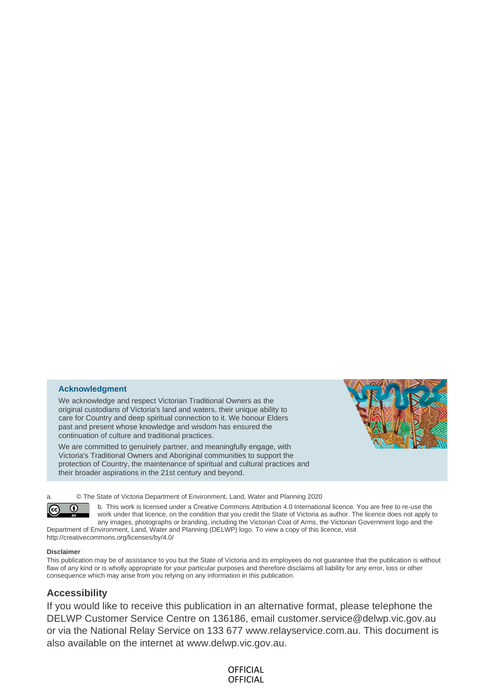### **Acknowledgment**

We acknowledge and respect Victorian Traditional Owners as the original custodians of Victoria's land and waters, their unique ability to care for Country and deep spiritual connection to it. We honour Elders past and present whose knowledge and wisdom has ensured the continuation of culture and traditional practices.

We are committed to genuinely partner, and meaningfully engage, with Victoria's Traditional Owners and Aboriginal communities to support the protection of Country, the maintenance of spiritual and cultural practices and their broader aspirations in the 21st century and beyond.



a. © The State of Victoria Department of Environment, Land, Water and Planning 2020

b. This work is licensed under a Creative Commons Attribution 4.0 International licence. You are free to re-use the work under that licence, on the condition that you credit the State of Victoria as author. The licence does not apply to any images, photographs or branding, including the Victorian Coat of Arms, the Victorian Government logo and the

Department of Environment, Land, Water and Planning (DELWP) logo. To view a copy of this licence, visit <http://creativecommons.org/licenses/by/4.0/>

#### **Disclaimer**

 $\left(\mathrm{cc}\right)$ 

 $\boldsymbol{\theta}$ 

This publication may be of assistance to you but the State of Victoria and its employees do not guarantee that the publication is without flaw of any kind or is wholly appropriate for your particular purposes and therefore disclaims all liability for any error, loss or other consequence which may arise from you relying on any information in this publication.

### **Accessibility**

If you would like to receive this publication in an alternative format, please telephone the DELWP Customer Service Centre on 136186, email [customer.service@delwp.vic.gov.au](mailto:customer.service@delwp.vic.gov.au)  or via the National Relay Service on 133 677 [www.relayservice.com.au.](http://www.relayservice.com.au/) This document is also available on the internet at [www.delwp.vic.gov.au.](http://www.delwp.vic.gov.au/)

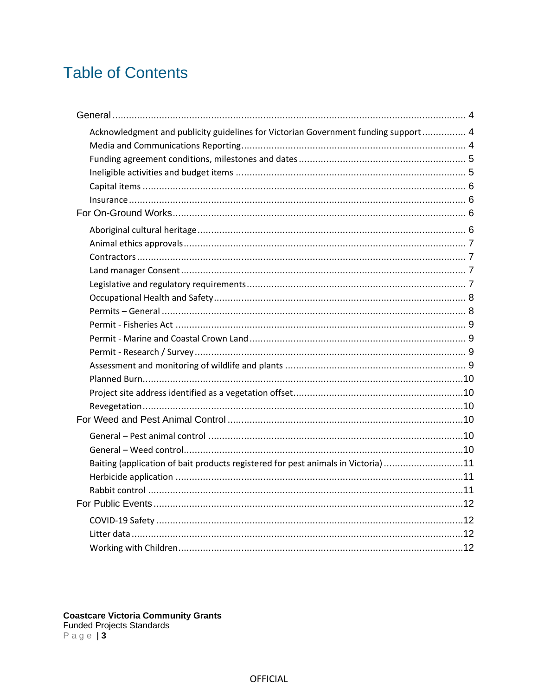# **Table of Contents**

| Acknowledgment and publicity guidelines for Victorian Government funding support 4 |  |
|------------------------------------------------------------------------------------|--|
|                                                                                    |  |
|                                                                                    |  |
|                                                                                    |  |
|                                                                                    |  |
|                                                                                    |  |
|                                                                                    |  |
|                                                                                    |  |
|                                                                                    |  |
|                                                                                    |  |
|                                                                                    |  |
|                                                                                    |  |
|                                                                                    |  |
|                                                                                    |  |
|                                                                                    |  |
|                                                                                    |  |
|                                                                                    |  |
|                                                                                    |  |
|                                                                                    |  |
|                                                                                    |  |
|                                                                                    |  |
|                                                                                    |  |
|                                                                                    |  |
| Baiting (application of bait products registered for pest animals in Victoria) 11  |  |
|                                                                                    |  |
|                                                                                    |  |
|                                                                                    |  |
|                                                                                    |  |
|                                                                                    |  |
|                                                                                    |  |

**Coastcare Victoria Community Grants**<br>Funded Projects Standards<br>Page | 3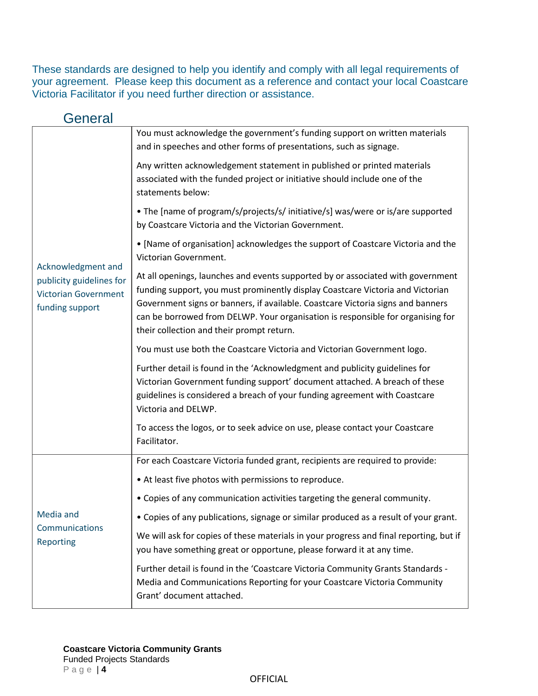These standards are designed to help you identify and comply with all legal requirements of your agreement. Please keep this document as a reference and contact your local Coastcare Victoria Facilitator if you need further direction or assistance.

<span id="page-3-2"></span><span id="page-3-1"></span><span id="page-3-0"></span>

| General                                                                                          |                                                                                                                                                                                                                                                                                                                                                                                      |
|--------------------------------------------------------------------------------------------------|--------------------------------------------------------------------------------------------------------------------------------------------------------------------------------------------------------------------------------------------------------------------------------------------------------------------------------------------------------------------------------------|
| Acknowledgment and<br>publicity guidelines for<br><b>Victorian Government</b><br>funding support | You must acknowledge the government's funding support on written materials<br>and in speeches and other forms of presentations, such as signage.                                                                                                                                                                                                                                     |
|                                                                                                  | Any written acknowledgement statement in published or printed materials<br>associated with the funded project or initiative should include one of the<br>statements below:                                                                                                                                                                                                           |
|                                                                                                  | • The [name of program/s/projects/s/ initiative/s] was/were or is/are supported<br>by Coastcare Victoria and the Victorian Government.                                                                                                                                                                                                                                               |
|                                                                                                  | . [Name of organisation] acknowledges the support of Coastcare Victoria and the<br>Victorian Government.                                                                                                                                                                                                                                                                             |
|                                                                                                  | At all openings, launches and events supported by or associated with government<br>funding support, you must prominently display Coastcare Victoria and Victorian<br>Government signs or banners, if available. Coastcare Victoria signs and banners<br>can be borrowed from DELWP. Your organisation is responsible for organising for<br>their collection and their prompt return. |
|                                                                                                  | You must use both the Coastcare Victoria and Victorian Government logo.                                                                                                                                                                                                                                                                                                              |
|                                                                                                  | Further detail is found in the 'Acknowledgment and publicity guidelines for<br>Victorian Government funding support' document attached. A breach of these<br>guidelines is considered a breach of your funding agreement with Coastcare<br>Victoria and DELWP.                                                                                                                       |
|                                                                                                  | To access the logos, or to seek advice on use, please contact your Coastcare<br>Facilitator.                                                                                                                                                                                                                                                                                         |
|                                                                                                  | For each Coastcare Victoria funded grant, recipients are required to provide:                                                                                                                                                                                                                                                                                                        |
|                                                                                                  | • At least five photos with permissions to reproduce.                                                                                                                                                                                                                                                                                                                                |
|                                                                                                  | • Copies of any communication activities targeting the general community.                                                                                                                                                                                                                                                                                                            |
| Media and                                                                                        | • Copies of any publications, signage or similar produced as a result of your grant.                                                                                                                                                                                                                                                                                                 |
| Communications<br>Reporting                                                                      | We will ask for copies of these materials in your progress and final reporting, but if<br>you have something great or opportune, please forward it at any time.                                                                                                                                                                                                                      |
|                                                                                                  | Further detail is found in the 'Coastcare Victoria Community Grants Standards -<br>Media and Communications Reporting for your Coastcare Victoria Community<br>Grant' document attached.                                                                                                                                                                                             |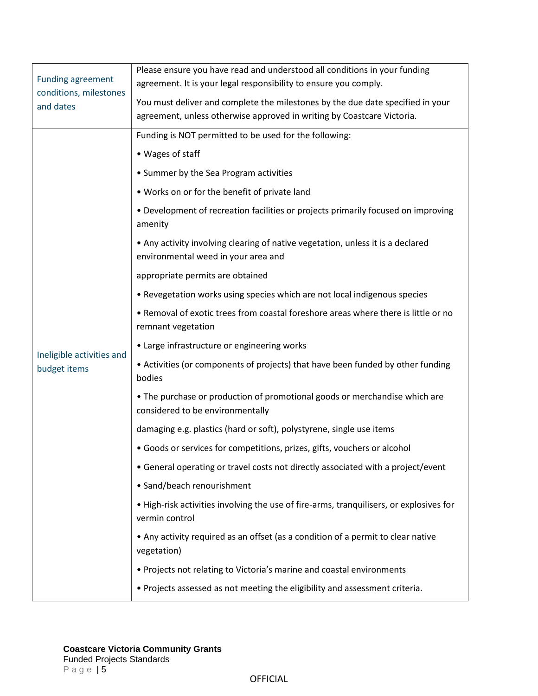<span id="page-4-1"></span><span id="page-4-0"></span>

|                                                                 | Please ensure you have read and understood all conditions in your funding                                              |
|-----------------------------------------------------------------|------------------------------------------------------------------------------------------------------------------------|
| <b>Funding agreement</b><br>conditions, milestones<br>and dates | agreement. It is your legal responsibility to ensure you comply.                                                       |
|                                                                 | You must deliver and complete the milestones by the due date specified in your                                         |
|                                                                 | agreement, unless otherwise approved in writing by Coastcare Victoria.                                                 |
|                                                                 | Funding is NOT permitted to be used for the following:                                                                 |
|                                                                 | • Wages of staff                                                                                                       |
|                                                                 | • Summer by the Sea Program activities                                                                                 |
|                                                                 | . Works on or for the benefit of private land                                                                          |
|                                                                 | • Development of recreation facilities or projects primarily focused on improving<br>amenity                           |
|                                                                 | • Any activity involving clearing of native vegetation, unless it is a declared<br>environmental weed in your area and |
|                                                                 | appropriate permits are obtained                                                                                       |
|                                                                 | • Revegetation works using species which are not local indigenous species                                              |
|                                                                 | . Removal of exotic trees from coastal foreshore areas where there is little or no<br>remnant vegetation               |
|                                                                 | • Large infrastructure or engineering works                                                                            |
| Ineligible activities and<br>budget items                       | • Activities (or components of projects) that have been funded by other funding<br>bodies                              |
|                                                                 | • The purchase or production of promotional goods or merchandise which are<br>considered to be environmentally         |
|                                                                 | damaging e.g. plastics (hard or soft), polystyrene, single use items                                                   |
|                                                                 | • Goods or services for competitions, prizes, gifts, vouchers or alcohol                                               |
|                                                                 | • General operating or travel costs not directly associated with a project/event                                       |
|                                                                 | • Sand/beach renourishment                                                                                             |
|                                                                 | . High-risk activities involving the use of fire-arms, tranquilisers, or explosives for<br>vermin control              |
|                                                                 | • Any activity required as an offset (as a condition of a permit to clear native<br>vegetation)                        |
|                                                                 | • Projects not relating to Victoria's marine and coastal environments                                                  |
|                                                                 | • Projects assessed as not meeting the eligibility and assessment criteria.                                            |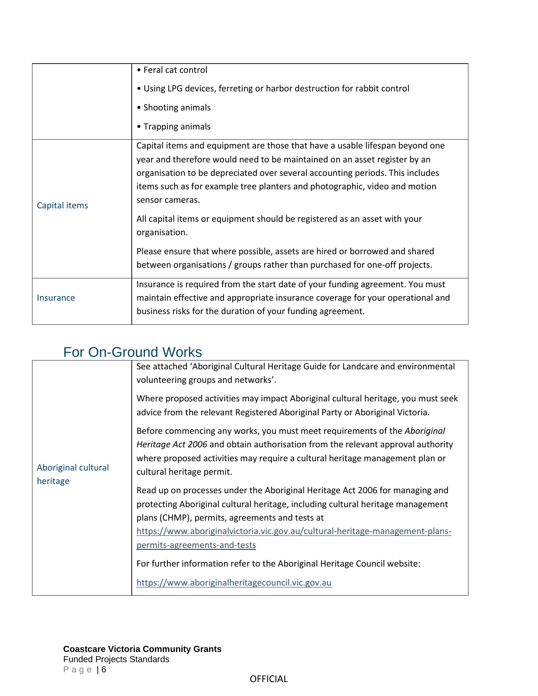<span id="page-5-0"></span>

|               | • Feral cat control<br>• Using LPG devices, ferreting or harbor destruction for rabbit control<br>• Shooting animals<br>• Trapping animals                                                                                                                                                                                                                                                                                                                                                                                                                                                            |
|---------------|-------------------------------------------------------------------------------------------------------------------------------------------------------------------------------------------------------------------------------------------------------------------------------------------------------------------------------------------------------------------------------------------------------------------------------------------------------------------------------------------------------------------------------------------------------------------------------------------------------|
| Capital items | Capital items and equipment are those that have a usable lifespan beyond one<br>year and therefore would need to be maintained on an asset register by an<br>organisation to be depreciated over several accounting periods. This includes<br>items such as for example tree planters and photographic, video and motion<br>sensor cameras.<br>All capital items or equipment should be registered as an asset with your<br>organisation.<br>Please ensure that where possible, assets are hired or borrowed and shared<br>between organisations / groups rather than purchased for one-off projects. |
| Insurance     | Insurance is required from the start date of your funding agreement. You must<br>maintain effective and appropriate insurance coverage for your operational and<br>business risks for the duration of your funding agreement.                                                                                                                                                                                                                                                                                                                                                                         |

### <span id="page-5-2"></span><span id="page-5-1"></span>For On-Ground Works

<span id="page-5-3"></span>

| Aboriginal cultural<br>heritage | See attached 'Aboriginal Cultural Heritage Guide for Landcare and environmental<br>volunteering groups and networks'.                                                                                                                                                                                                              |
|---------------------------------|------------------------------------------------------------------------------------------------------------------------------------------------------------------------------------------------------------------------------------------------------------------------------------------------------------------------------------|
|                                 | Where proposed activities may impact Aboriginal cultural heritage, you must seek<br>advice from the relevant Registered Aboriginal Party or Aboriginal Victoria.                                                                                                                                                                   |
|                                 | Before commencing any works, you must meet requirements of the Aboriginal<br>Heritage Act 2006 and obtain authorisation from the relevant approval authority<br>where proposed activities may require a cultural heritage management plan or<br>cultural heritage permit.                                                          |
|                                 | Read up on processes under the Aboriginal Heritage Act 2006 for managing and<br>protecting Aboriginal cultural heritage, including cultural heritage management<br>plans (CHMP), permits, agreements and tests at<br>https://www.aboriginalvictoria.vic.gov.au/cultural-heritage-management-plans-<br>permits-agreements-and-tests |
|                                 | For further information refer to the Aboriginal Heritage Council website:<br>https://www.aboriginalheritagecouncil.vic.gov.au                                                                                                                                                                                                      |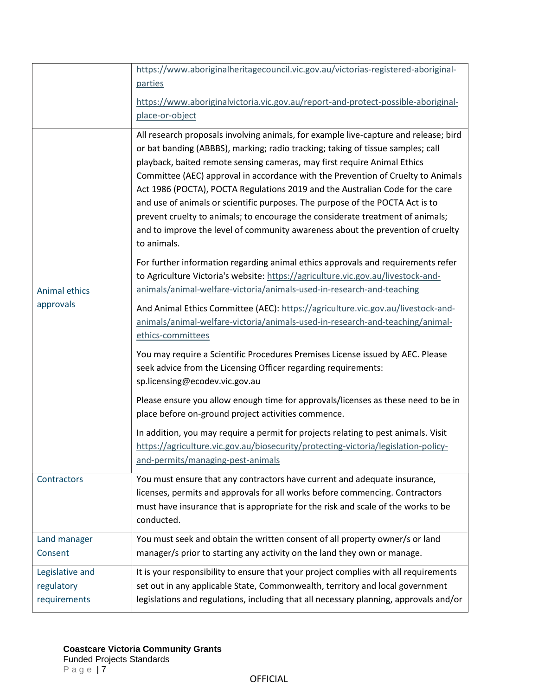<span id="page-6-3"></span><span id="page-6-2"></span><span id="page-6-1"></span><span id="page-6-0"></span>

|                                               | https://www.aboriginalheritagecouncil.vic.gov.au/victorias-registered-aboriginal-<br>parties                                                                                                                                                                                                                                                                                                                                                                                                                                                                                                                                                                                                  |
|-----------------------------------------------|-----------------------------------------------------------------------------------------------------------------------------------------------------------------------------------------------------------------------------------------------------------------------------------------------------------------------------------------------------------------------------------------------------------------------------------------------------------------------------------------------------------------------------------------------------------------------------------------------------------------------------------------------------------------------------------------------|
|                                               | https://www.aboriginalvictoria.vic.gov.au/report-and-protect-possible-aboriginal-<br>place-or-object                                                                                                                                                                                                                                                                                                                                                                                                                                                                                                                                                                                          |
| Animal ethics<br>approvals                    | All research proposals involving animals, for example live-capture and release; bird<br>or bat banding (ABBBS), marking; radio tracking; taking of tissue samples; call<br>playback, baited remote sensing cameras, may first require Animal Ethics<br>Committee (AEC) approval in accordance with the Prevention of Cruelty to Animals<br>Act 1986 (POCTA), POCTA Regulations 2019 and the Australian Code for the care<br>and use of animals or scientific purposes. The purpose of the POCTA Act is to<br>prevent cruelty to animals; to encourage the considerate treatment of animals;<br>and to improve the level of community awareness about the prevention of cruelty<br>to animals. |
|                                               | For further information regarding animal ethics approvals and requirements refer<br>to Agriculture Victoria's website: https://agriculture.vic.gov.au/livestock-and-<br>animals/animal-welfare-victoria/animals-used-in-research-and-teaching                                                                                                                                                                                                                                                                                                                                                                                                                                                 |
|                                               | And Animal Ethics Committee (AEC): https://agriculture.vic.gov.au/livestock-and-<br>animals/animal-welfare-victoria/animals-used-in-research-and-teaching/animal-<br>ethics-committees                                                                                                                                                                                                                                                                                                                                                                                                                                                                                                        |
|                                               | You may require a Scientific Procedures Premises License issued by AEC. Please<br>seek advice from the Licensing Officer regarding requirements:<br>sp.licensing@ecodev.vic.gov.au                                                                                                                                                                                                                                                                                                                                                                                                                                                                                                            |
|                                               | Please ensure you allow enough time for approvals/licenses as these need to be in<br>place before on-ground project activities commence.                                                                                                                                                                                                                                                                                                                                                                                                                                                                                                                                                      |
|                                               | In addition, you may require a permit for projects relating to pest animals. Visit<br>https://agriculture.vic.gov.au/biosecurity/protecting-victoria/legislation-policy-<br>and-permits/managing-pest-animals                                                                                                                                                                                                                                                                                                                                                                                                                                                                                 |
| Contractors                                   | You must ensure that any contractors have current and adequate insurance,<br>licenses, permits and approvals for all works before commencing. Contractors<br>must have insurance that is appropriate for the risk and scale of the works to be<br>conducted.                                                                                                                                                                                                                                                                                                                                                                                                                                  |
| Land manager<br>Consent                       | You must seek and obtain the written consent of all property owner/s or land<br>manager/s prior to starting any activity on the land they own or manage.                                                                                                                                                                                                                                                                                                                                                                                                                                                                                                                                      |
| Legislative and<br>regulatory<br>requirements | It is your responsibility to ensure that your project complies with all requirements<br>set out in any applicable State, Commonwealth, territory and local government<br>legislations and regulations, including that all necessary planning, approvals and/or                                                                                                                                                                                                                                                                                                                                                                                                                                |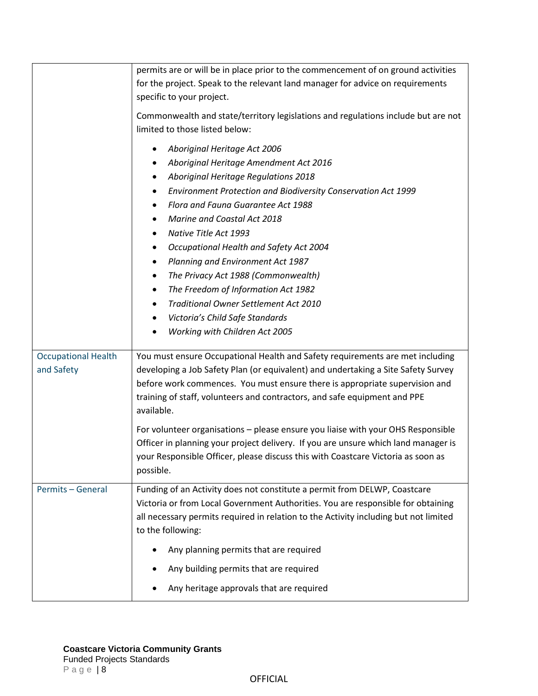<span id="page-7-1"></span><span id="page-7-0"></span>

|                                          | permits are or will be in place prior to the commencement of on ground activities<br>for the project. Speak to the relevant land manager for advice on requirements<br>specific to your project.                                                                                                                                                                                                                                                                                                                                                                                                                                    |
|------------------------------------------|-------------------------------------------------------------------------------------------------------------------------------------------------------------------------------------------------------------------------------------------------------------------------------------------------------------------------------------------------------------------------------------------------------------------------------------------------------------------------------------------------------------------------------------------------------------------------------------------------------------------------------------|
|                                          | Commonwealth and state/territory legislations and regulations include but are not<br>limited to those listed below:                                                                                                                                                                                                                                                                                                                                                                                                                                                                                                                 |
|                                          | Aboriginal Heritage Act 2006<br>Aboriginal Heritage Amendment Act 2016<br>Aboriginal Heritage Regulations 2018<br>٠<br>Environment Protection and Biodiversity Conservation Act 1999<br>$\bullet$<br>Flora and Fauna Guarantee Act 1988<br>٠<br>Marine and Coastal Act 2018<br>Native Title Act 1993<br>٠<br>Occupational Health and Safety Act 2004<br>٠<br>Planning and Environment Act 1987<br>٠<br>The Privacy Act 1988 (Commonwealth)<br>$\bullet$<br>The Freedom of Information Act 1982<br>٠<br>Traditional Owner Settlement Act 2010<br>$\bullet$<br>Victoria's Child Safe Standards<br>٠<br>Working with Children Act 2005 |
| <b>Occupational Health</b><br>and Safety | You must ensure Occupational Health and Safety requirements are met including<br>developing a Job Safety Plan (or equivalent) and undertaking a Site Safety Survey<br>before work commences. You must ensure there is appropriate supervision and<br>training of staff, volunteers and contractors, and safe equipment and PPE<br>available.<br>For volunteer organisations - please ensure you liaise with your OHS Responsible<br>Officer in planning your project delivery. If you are unsure which land manager is<br>your Responsible Officer, please discuss this with Coastcare Victoria as soon as                          |
|                                          | possible.                                                                                                                                                                                                                                                                                                                                                                                                                                                                                                                                                                                                                           |
| Permits - General                        | Funding of an Activity does not constitute a permit from DELWP, Coastcare<br>Victoria or from Local Government Authorities. You are responsible for obtaining<br>all necessary permits required in relation to the Activity including but not limited<br>to the following:                                                                                                                                                                                                                                                                                                                                                          |
|                                          | Any planning permits that are required                                                                                                                                                                                                                                                                                                                                                                                                                                                                                                                                                                                              |
|                                          | Any building permits that are required                                                                                                                                                                                                                                                                                                                                                                                                                                                                                                                                                                                              |
|                                          | Any heritage approvals that are required                                                                                                                                                                                                                                                                                                                                                                                                                                                                                                                                                                                            |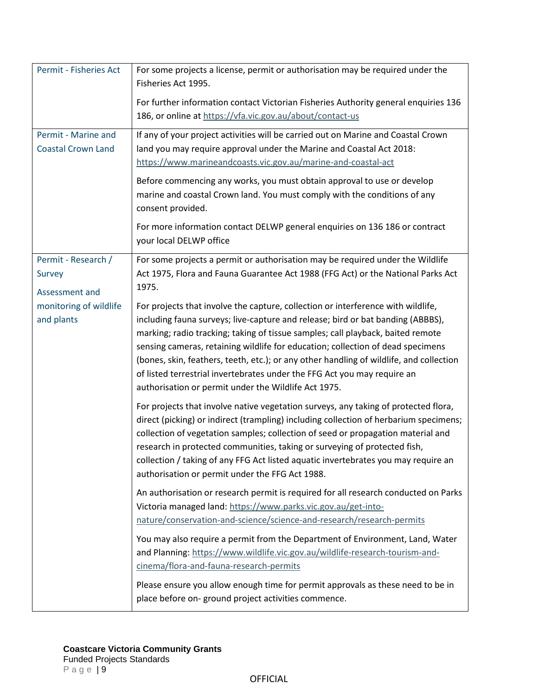<span id="page-8-3"></span><span id="page-8-2"></span><span id="page-8-1"></span><span id="page-8-0"></span>

| Permit - Fisheries Act                           | For some projects a license, permit or authorisation may be required under the<br>Fisheries Act 1995.                                                                                                                                                                                                                                                                                                                                                                                                                                                                    |
|--------------------------------------------------|--------------------------------------------------------------------------------------------------------------------------------------------------------------------------------------------------------------------------------------------------------------------------------------------------------------------------------------------------------------------------------------------------------------------------------------------------------------------------------------------------------------------------------------------------------------------------|
|                                                  | For further information contact Victorian Fisheries Authority general enquiries 136<br>186, or online at https://vfa.vic.gov.au/about/contact-us                                                                                                                                                                                                                                                                                                                                                                                                                         |
| Permit - Marine and<br><b>Coastal Crown Land</b> | If any of your project activities will be carried out on Marine and Coastal Crown<br>land you may require approval under the Marine and Coastal Act 2018:<br>https://www.marineandcoasts.vic.gov.au/marine-and-coastal-act                                                                                                                                                                                                                                                                                                                                               |
|                                                  | Before commencing any works, you must obtain approval to use or develop<br>marine and coastal Crown land. You must comply with the conditions of any<br>consent provided.                                                                                                                                                                                                                                                                                                                                                                                                |
|                                                  | For more information contact DELWP general enquiries on 136 186 or contract<br>your local DELWP office                                                                                                                                                                                                                                                                                                                                                                                                                                                                   |
| Permit - Research /<br>Survey<br>Assessment and  | For some projects a permit or authorisation may be required under the Wildlife<br>Act 1975, Flora and Fauna Guarantee Act 1988 (FFG Act) or the National Parks Act<br>1975.                                                                                                                                                                                                                                                                                                                                                                                              |
| monitoring of wildlife<br>and plants             | For projects that involve the capture, collection or interference with wildlife,<br>including fauna surveys; live-capture and release; bird or bat banding (ABBBS),<br>marking; radio tracking; taking of tissue samples; call playback, baited remote<br>sensing cameras, retaining wildlife for education; collection of dead specimens<br>(bones, skin, feathers, teeth, etc.); or any other handling of wildlife, and collection<br>of listed terrestrial invertebrates under the FFG Act you may require an<br>authorisation or permit under the Wildlife Act 1975. |
|                                                  | For projects that involve native vegetation surveys, any taking of protected flora,<br>direct (picking) or indirect (trampling) including collection of herbarium specimens;<br>collection of vegetation samples; collection of seed or propagation material and<br>research in protected communities, taking or surveying of protected fish,<br>collection / taking of any FFG Act listed aquatic invertebrates you may require an<br>authorisation or permit under the FFG Act 1988.                                                                                   |
|                                                  | An authorisation or research permit is required for all research conducted on Parks<br>Victoria managed land: https://www.parks.vic.gov.au/get-into-<br>nature/conservation-and-science/science-and-research/research-permits                                                                                                                                                                                                                                                                                                                                            |
|                                                  | You may also require a permit from the Department of Environment, Land, Water<br>and Planning: https://www.wildlife.vic.gov.au/wildlife-research-tourism-and-<br>cinema/flora-and-fauna-research-permits                                                                                                                                                                                                                                                                                                                                                                 |
|                                                  | Please ensure you allow enough time for permit approvals as these need to be in<br>place before on-ground project activities commence.                                                                                                                                                                                                                                                                                                                                                                                                                                   |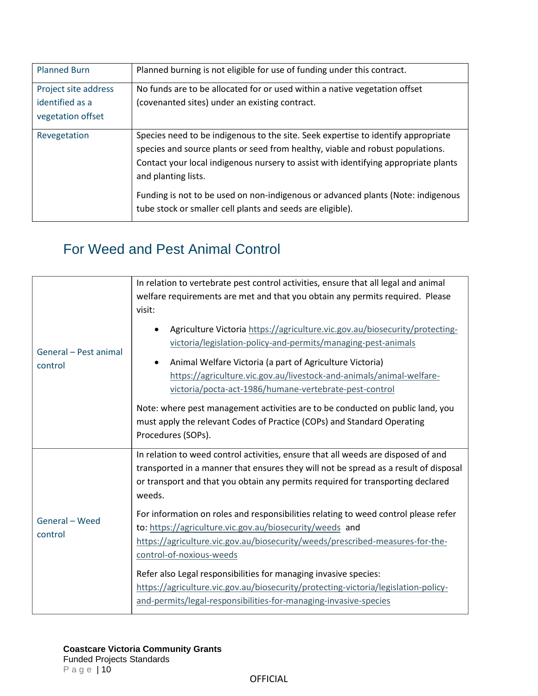<span id="page-9-2"></span><span id="page-9-1"></span><span id="page-9-0"></span>

| <b>Planned Burn</b>                                          | Planned burning is not eligible for use of funding under this contract.                                                                                                                                                                                                           |
|--------------------------------------------------------------|-----------------------------------------------------------------------------------------------------------------------------------------------------------------------------------------------------------------------------------------------------------------------------------|
| Project site address<br>identified as a<br>vegetation offset | No funds are to be allocated for or used within a native vegetation offset<br>(covenanted sites) under an existing contract.                                                                                                                                                      |
| Revegetation                                                 | Species need to be indigenous to the site. Seek expertise to identify appropriate<br>species and source plants or seed from healthy, viable and robust populations.<br>Contact your local indigenous nursery to assist with identifying appropriate plants<br>and planting lists. |
|                                                              | Funding is not to be used on non-indigenous or advanced plants (Note: indigenous<br>tube stock or smaller cell plants and seeds are eligible).                                                                                                                                    |

# <span id="page-9-3"></span>For Weed and Pest Animal Control

<span id="page-9-5"></span><span id="page-9-4"></span>

| General - Pest animal<br>control | In relation to vertebrate pest control activities, ensure that all legal and animal<br>welfare requirements are met and that you obtain any permits required. Please<br>visit:                                                                                                                                                                                                                                                                                                                                                |
|----------------------------------|-------------------------------------------------------------------------------------------------------------------------------------------------------------------------------------------------------------------------------------------------------------------------------------------------------------------------------------------------------------------------------------------------------------------------------------------------------------------------------------------------------------------------------|
|                                  | Agriculture Victoria https://agriculture.vic.gov.au/biosecurity/protecting-<br>victoria/legislation-policy-and-permits/managing-pest-animals<br>Animal Welfare Victoria (a part of Agriculture Victoria)<br>https://agriculture.vic.gov.au/livestock-and-animals/animal-welfare-<br>victoria/pocta-act-1986/humane-vertebrate-pest-control<br>Note: where pest management activities are to be conducted on public land, you<br>must apply the relevant Codes of Practice (COPs) and Standard Operating<br>Procedures (SOPs). |
|                                  | In relation to weed control activities, ensure that all weeds are disposed of and<br>transported in a manner that ensures they will not be spread as a result of disposal<br>or transport and that you obtain any permits required for transporting declared<br>weeds.                                                                                                                                                                                                                                                        |
| General - Weed<br>control        | For information on roles and responsibilities relating to weed control please refer<br>to: https://agriculture.vic.gov.au/biosecurity/weeds and<br>https://agriculture.vic.gov.au/biosecurity/weeds/prescribed-measures-for-the-<br>control-of-noxious-weeds                                                                                                                                                                                                                                                                  |
|                                  | Refer also Legal responsibilities for managing invasive species:<br>https://agriculture.vic.gov.au/biosecurity/protecting-victoria/legislation-policy-<br>and-permits/legal-responsibilities-for-managing-invasive-species                                                                                                                                                                                                                                                                                                    |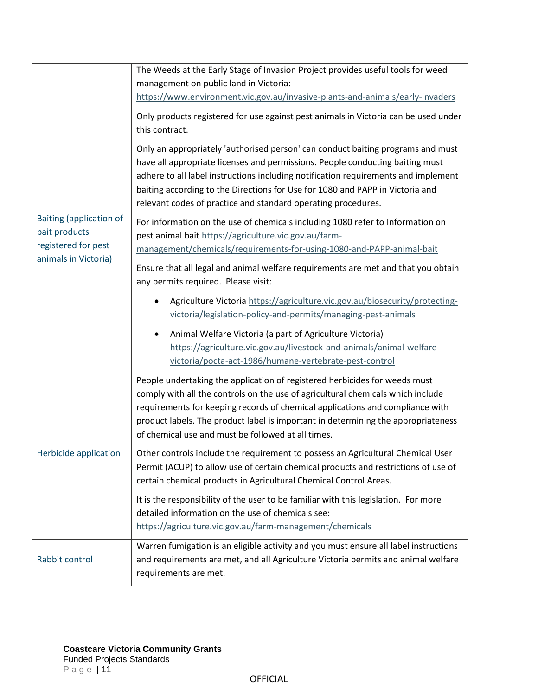<span id="page-10-2"></span><span id="page-10-1"></span><span id="page-10-0"></span>

|                                                                                                | The Weeds at the Early Stage of Invasion Project provides useful tools for weed                                                                                                                                                                                                                                                                                                                          |
|------------------------------------------------------------------------------------------------|----------------------------------------------------------------------------------------------------------------------------------------------------------------------------------------------------------------------------------------------------------------------------------------------------------------------------------------------------------------------------------------------------------|
|                                                                                                | management on public land in Victoria:                                                                                                                                                                                                                                                                                                                                                                   |
|                                                                                                | https://www.environment.vic.gov.au/invasive-plants-and-animals/early-invaders                                                                                                                                                                                                                                                                                                                            |
| <b>Baiting (application of</b><br>bait products<br>registered for pest<br>animals in Victoria) | Only products registered for use against pest animals in Victoria can be used under<br>this contract.                                                                                                                                                                                                                                                                                                    |
|                                                                                                | Only an appropriately 'authorised person' can conduct baiting programs and must<br>have all appropriate licenses and permissions. People conducting baiting must<br>adhere to all label instructions including notification requirements and implement<br>baiting according to the Directions for Use for 1080 and PAPP in Victoria and<br>relevant codes of practice and standard operating procedures. |
|                                                                                                | For information on the use of chemicals including 1080 refer to Information on<br>pest animal bait https://agriculture.vic.gov.au/farm-<br>management/chemicals/requirements-for-using-1080-and-PAPP-animal-bait                                                                                                                                                                                         |
|                                                                                                | Ensure that all legal and animal welfare requirements are met and that you obtain<br>any permits required. Please visit:                                                                                                                                                                                                                                                                                 |
|                                                                                                | Agriculture Victoria https://agriculture.vic.gov.au/biosecurity/protecting-<br>victoria/legislation-policy-and-permits/managing-pest-animals                                                                                                                                                                                                                                                             |
|                                                                                                | Animal Welfare Victoria (a part of Agriculture Victoria)<br>$\bullet$<br>https://agriculture.vic.gov.au/livestock-and-animals/animal-welfare-<br>victoria/pocta-act-1986/humane-vertebrate-pest-control                                                                                                                                                                                                  |
| Herbicide application                                                                          | People undertaking the application of registered herbicides for weeds must<br>comply with all the controls on the use of agricultural chemicals which include<br>requirements for keeping records of chemical applications and compliance with<br>product labels. The product label is important in determining the appropriateness<br>of chemical use and must be followed at all times.                |
|                                                                                                | Other controls include the requirement to possess an Agricultural Chemical User<br>Permit (ACUP) to allow use of certain chemical products and restrictions of use of<br>certain chemical products in Agricultural Chemical Control Areas.                                                                                                                                                               |
|                                                                                                | It is the responsibility of the user to be familiar with this legislation. For more<br>detailed information on the use of chemicals see:<br>https://agriculture.vic.gov.au/farm-management/chemicals                                                                                                                                                                                                     |
| Rabbit control                                                                                 | Warren fumigation is an eligible activity and you must ensure all label instructions<br>and requirements are met, and all Agriculture Victoria permits and animal welfare<br>requirements are met.                                                                                                                                                                                                       |